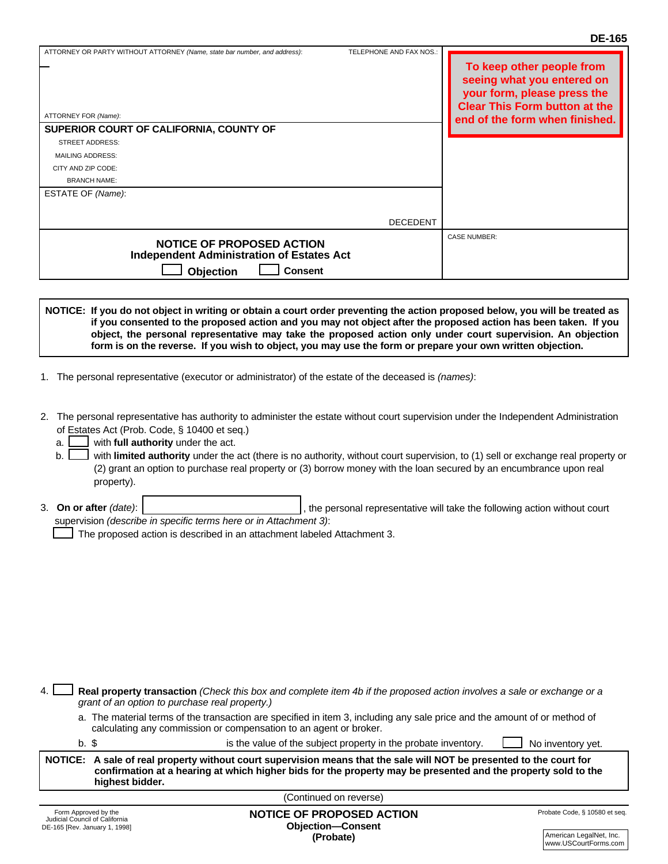| ATTORNEY FOR (Name):<br>SUPERIOR COURT OF CALIFORNIA, COUNTY OF                                                     |                 | TO Keep other people from<br>seeing what you entered on<br>your form, please press the<br><b>Clear This Form button at the</b><br>end of the form when finished. |
|---------------------------------------------------------------------------------------------------------------------|-----------------|------------------------------------------------------------------------------------------------------------------------------------------------------------------|
| <b>STREET ADDRESS:</b>                                                                                              |                 |                                                                                                                                                                  |
| MAILING ADDRESS:                                                                                                    |                 |                                                                                                                                                                  |
| CITY AND ZIP CODE:                                                                                                  |                 |                                                                                                                                                                  |
| <b>BRANCH NAME:</b>                                                                                                 |                 |                                                                                                                                                                  |
| ESTATE OF (Name):                                                                                                   |                 |                                                                                                                                                                  |
|                                                                                                                     |                 |                                                                                                                                                                  |
|                                                                                                                     | <b>DECEDENT</b> |                                                                                                                                                                  |
| <b>NOTICE OF PROPOSED ACTION</b><br><b>Independent Administration of Estates Act</b><br>Objection<br><b>Consent</b> |                 | <b>CASE NUMBER:</b>                                                                                                                                              |

**NOTICE: If you do not object in writing or obtain a court order preventing the action proposed below, you will be treated as** TO **if you consented to the proposed action and you may not object after the proposed action has been taken. If you object, the personal representative may take the proposed action only under court supervision. An objection form is on the reverse. If you wish to object, you may use the form or prepare your own written objection.**

- 1. The personal representative (executor or administrator) of the estate of the deceased is *(names)*:
- 2. The personal representative has authority to administer the estate without court supervision under the Independent Administration of Estates Act (Prob. Code, § 10400 et seq.)<br>contract in room in the day of the notation of the notion of the non- $\epsilon$  contain tepresentative has authority to administration.
	- with **full authority** under the act. a.
	- \_\_with **run authority** under the act.<br>I with **limited authority** under the act (there is no authority, without court supervision, to (1) sell or exchange real property or (2) grant an option to purchase real property or (3) borrow money with the loan secured by an encumbrance upon real property). b.
- 3. **On or after** *(date)*: **with the complex of complex and with the personal representative will take the following action without court and with the personal representative will take the following action without court** supervision *(describe in specific terms here or in Attachment 3)*:<br>  $\begin{bmatrix} -1 & -1 \\ -1 & -1 \end{bmatrix}$ the party of  $\mu$  is subport that is subport the personal representative will take the following action without court

The proposed action is described in an attachment labeled Attachment 3.

4. **Real property transaction** *(Check this box and complete item 4b if the proposed action involves a sale or exchange or a grant of an option to purchase real property.)*

a. The material terms of the transaction are specified in item 3, including any sale price and the amount of or method of calculating any commission or compensation to an agent or broker. calculating any commission or compensation to an agent or broker.

| ۰.<br>n an<br>v |  |
|-----------------|--|
|                 |  |

is the value of the subject property in the probate inventory.  $\Box$  No inventory yet.

| NOTICE: A sale of real property without court supervision means that the sale will NOT be presented to the court for             |
|----------------------------------------------------------------------------------------------------------------------------------|
| confirmation at a hearing at which higher bids for the property may be presented and the property sold to the<br>highest bidder. |
|                                                                                                                                  |

(Continued on reverse) E-Mail Address: